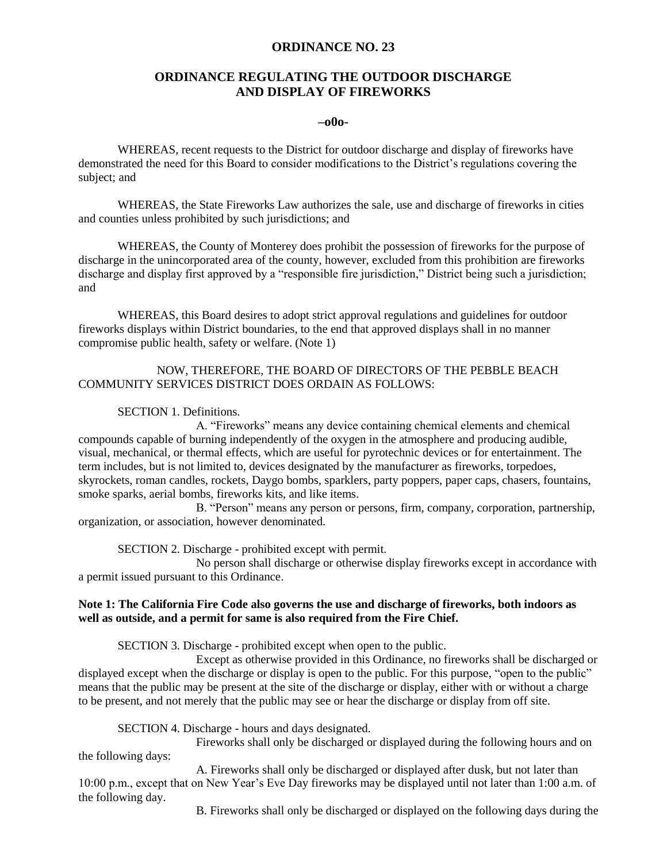### **ORDINANCE NO. 23**

# **ORDINANCE REGULATING THE OUTDOOR DISCHARGE AND DISPLAY OF FIREWORKS**

### **–o0o-**

WHEREAS, recent requests to the District for outdoor discharge and display of fireworks have demonstrated the need for this Board to consider modifications to the District's regulations covering the subject; and

WHEREAS, the State Fireworks Law authorizes the sale, use and discharge of fireworks in cities and counties unless prohibited by such jurisdictions; and

WHEREAS, the County of Monterey does prohibit the possession of fireworks for the purpose of discharge in the unincorporated area of the county, however, excluded from this prohibition are fireworks discharge and display first approved by a "responsible fire jurisdiction," District being such a jurisdiction; and

WHEREAS, this Board desires to adopt strict approval regulations and guidelines for outdoor fireworks displays within District boundaries, to the end that approved displays shall in no manner compromise public health, safety or welfare. (Note 1)

### NOW, THEREFORE, THE BOARD OF DIRECTORS OF THE PEBBLE BEACH COMMUNITY SERVICES DISTRICT DOES ORDAIN AS FOLLOWS:

#### SECTION 1. Definitions.

A. "Fireworks" means any device containing chemical elements and chemical compounds capable of burning independently of the oxygen in the atmosphere and producing audible, visual, mechanical, or thermal effects, which are useful for pyrotechnic devices or for entertainment. The term includes, but is not limited to, devices designated by the manufacturer as fireworks, torpedoes, skyrockets, roman candles, rockets, Daygo bombs, sparklers, party poppers, paper caps, chasers, fountains, smoke sparks, aerial bombs, fireworks kits, and like items.

B. "Person" means any person or persons, firm, company, corporation, partnership, organization, or association, however denominated.

SECTION 2. Discharge - prohibited except with permit.

No person shall discharge or otherwise display fireworks except in accordance with a permit issued pursuant to this Ordinance.

### **Note 1: The California Fire Code also governs the use and discharge of fireworks, both indoors as well as outside, and a permit for same is also required from the Fire Chief.**

SECTION 3. Discharge - prohibited except when open to the public.

Except as otherwise provided in this Ordinance, no fireworks shall be discharged or displayed except when the discharge or display is open to the public. For this purpose, "open to the public" means that the public may be present at the site of the discharge or display, either with or without a charge to be present, and not merely that the public may see or hear the discharge or display from off site.

SECTION 4. Discharge - hours and days designated.

Fireworks shall only be discharged or displayed during the following hours and on

the following days:

A. Fireworks shall only be discharged or displayed after dusk, but not later than 10:00 p.m., except that on New Year's Eve Day fireworks may be displayed until not later than 1:00 a.m. of the following day.

B. Fireworks shall only be discharged or displayed on the following days during the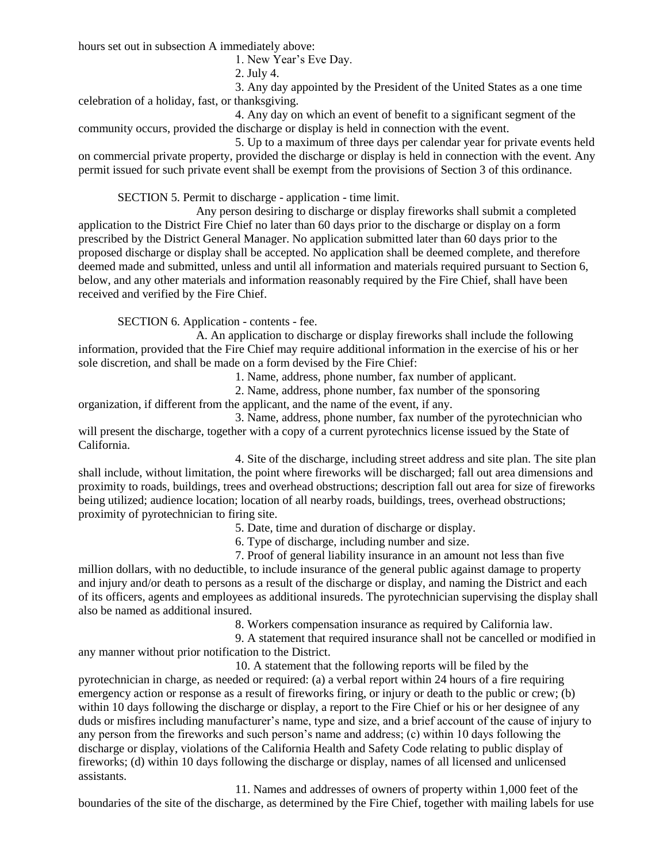hours set out in subsection A immediately above:

1. New Year's Eve Day.

2. July 4.

3. Any day appointed by the President of the United States as a one time celebration of a holiday, fast, or thanksgiving.

4. Any day on which an event of benefit to a significant segment of the community occurs, provided the discharge or display is held in connection with the event.

5. Up to a maximum of three days per calendar year for private events held on commercial private property, provided the discharge or display is held in connection with the event. Any permit issued for such private event shall be exempt from the provisions of Section 3 of this ordinance.

SECTION 5. Permit to discharge - application - time limit.

Any person desiring to discharge or display fireworks shall submit a completed application to the District Fire Chief no later than 60 days prior to the discharge or display on a form prescribed by the District General Manager. No application submitted later than 60 days prior to the proposed discharge or display shall be accepted. No application shall be deemed complete, and therefore deemed made and submitted, unless and until all information and materials required pursuant to Section 6, below, and any other materials and information reasonably required by the Fire Chief, shall have been received and verified by the Fire Chief.

SECTION 6. Application - contents - fee.

A. An application to discharge or display fireworks shall include the following information, provided that the Fire Chief may require additional information in the exercise of his or her sole discretion, and shall be made on a form devised by the Fire Chief:

1. Name, address, phone number, fax number of applicant.

2. Name, address, phone number, fax number of the sponsoring organization, if different from the applicant, and the name of the event, if any.

3. Name, address, phone number, fax number of the pyrotechnician who will present the discharge, together with a copy of a current pyrotechnics license issued by the State of California.

4. Site of the discharge, including street address and site plan. The site plan shall include, without limitation, the point where fireworks will be discharged; fall out area dimensions and proximity to roads, buildings, trees and overhead obstructions; description fall out area for size of fireworks being utilized; audience location; location of all nearby roads, buildings, trees, overhead obstructions; proximity of pyrotechnician to firing site.

5. Date, time and duration of discharge or display.

6. Type of discharge, including number and size.

7. Proof of general liability insurance in an amount not less than five million dollars, with no deductible, to include insurance of the general public against damage to property and injury and/or death to persons as a result of the discharge or display, and naming the District and each of its officers, agents and employees as additional insureds. The pyrotechnician supervising the display shall also be named as additional insured.

8. Workers compensation insurance as required by California law.

9. A statement that required insurance shall not be cancelled or modified in any manner without prior notification to the District.

10. A statement that the following reports will be filed by the pyrotechnician in charge, as needed or required: (a) a verbal report within 24 hours of a fire requiring emergency action or response as a result of fireworks firing, or injury or death to the public or crew; (b) within 10 days following the discharge or display, a report to the Fire Chief or his or her designee of any duds or misfires including manufacturer's name, type and size, and a brief account of the cause of injury to any person from the fireworks and such person's name and address; (c) within 10 days following the discharge or display, violations of the California Health and Safety Code relating to public display of fireworks; (d) within 10 days following the discharge or display, names of all licensed and unlicensed assistants.

11. Names and addresses of owners of property within 1,000 feet of the boundaries of the site of the discharge, as determined by the Fire Chief, together with mailing labels for use